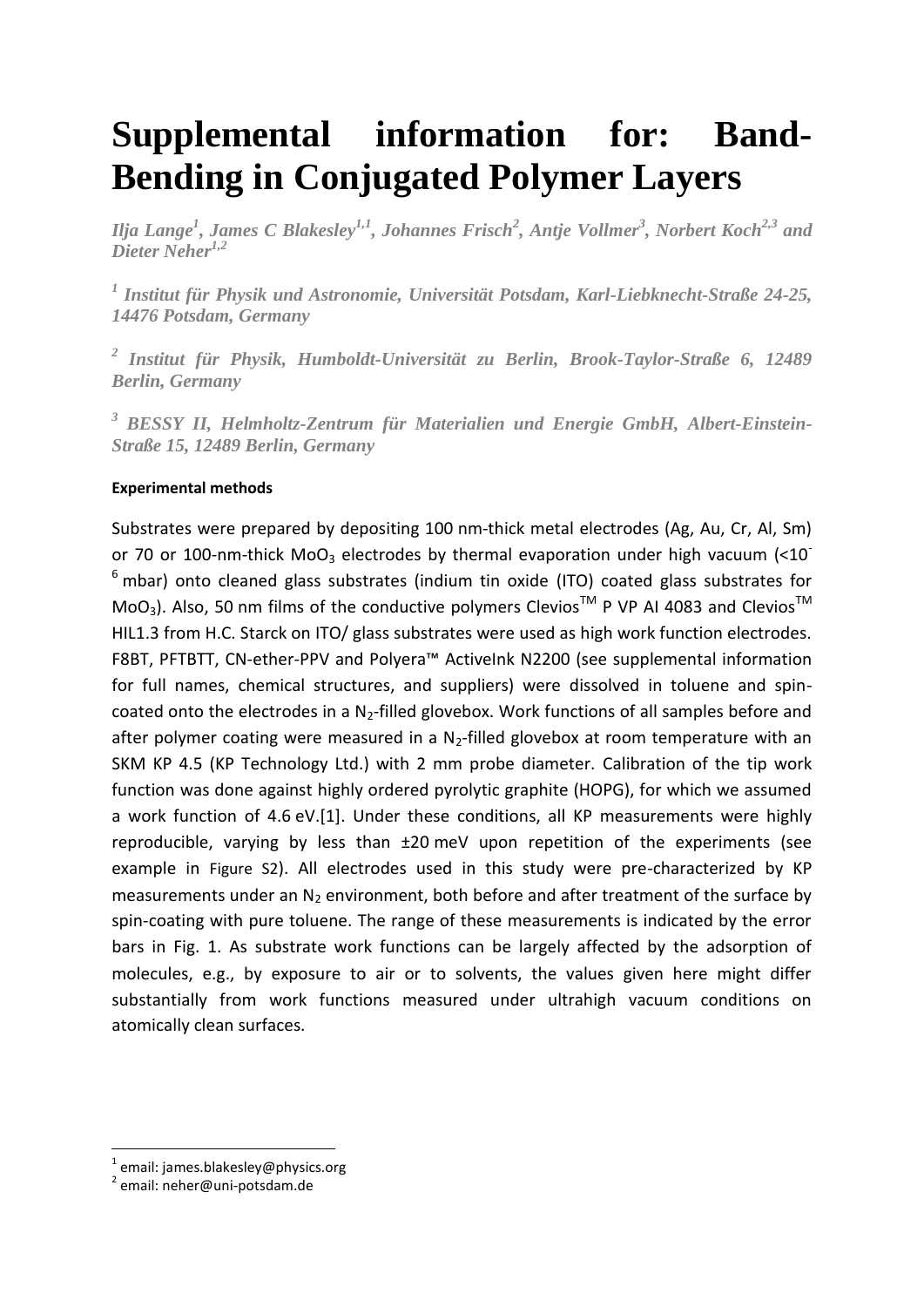## **Supplemental information for: Band-Bending in Conjugated Polymer Layers**

*Ilja Lange<sup>1</sup> , James C Blakesley1,1 , Johannes Frisch<sup>2</sup> , Antje Vollmer<sup>3</sup> , Norbert Koch2,3 and Dieter Neher1,2*

*1 Institut für Physik und Astronomie, Universität Potsdam, Karl-Liebknecht-Straße 24-25, 14476 Potsdam, Germany*

*2 Institut für Physik, Humboldt-Universität zu Berlin, Brook-Taylor-Straße 6, 12489 Berlin, Germany*

*<sup>3</sup> BESSY II, Helmholtz-Zentrum für Materialien und Energie GmbH, Albert-Einstein-Straße 15, 12489 Berlin, Germany*

## **Experimental methods**

Substrates were prepared by depositing 100 nm-thick metal electrodes (Ag, Au, Cr, Al, Sm) or 70 or 100-nm-thick MoO<sub>3</sub> electrodes by thermal evaporation under high vacuum  $\left($  < 10<sup>-</sup>  $6$  mbar) onto cleaned glass substrates (indium tin oxide (ITO) coated glass substrates for MoO<sub>3</sub>). Also, 50 nm films of the conductive polymers Clevios<sup>TM</sup> P VP AI 4083 and Clevios<sup>TM</sup> HIL1.3 from H.C. Starck on ITO/ glass substrates were used as high work function electrodes. F8BT, PFTBTT, CN-ether-PPV and Polyera™ ActiveInk N2200 (see supplemental information for full names, chemical structures, and suppliers) were dissolved in toluene and spincoated onto the electrodes in a  $N_2$ -filled glovebox. Work functions of all samples before and after polymer coating were measured in a  $N_2$ -filled glovebox at room temperature with an SKM KP 4.5 (KP Technology Ltd.) with 2 mm probe diameter. Calibration of the tip work function was done against highly ordered pyrolytic graphite (HOPG), for which we assumed a work function of 4.6 eV.[1]. Under these conditions, all KP measurements were highly reproducible, varying by less than ±20 meV upon repetition of the experiments (see example in [Figure S2](#page-1-0)). All electrodes used in this study were pre-characterized by KP measurements under an  $N_2$  environment, both before and after treatment of the surface by spin-coating with pure toluene. The range of these measurements is indicated by the error bars in Fig. 1. As substrate work functions can be largely affected by the adsorption of molecules, e.g., by exposure to air or to solvents, the values given here might differ substantially from work functions measured under ultrahigh vacuum conditions on atomically clean surfaces.

**.** 

<sup>&</sup>lt;sup>1</sup> email: james.blakesley@physics.org

<sup>2</sup> email: neher@uni-potsdam.de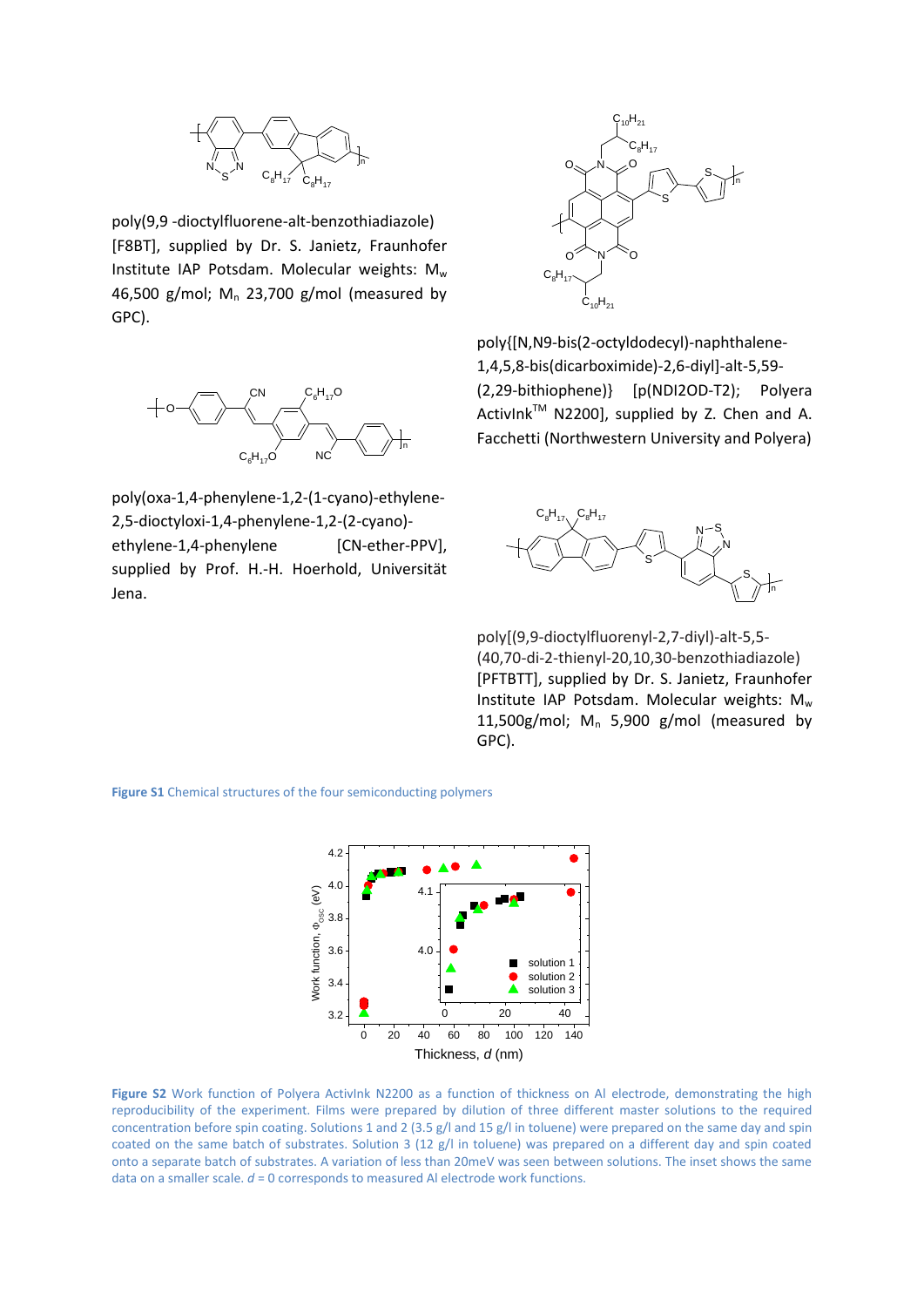

poly(9,9 -dioctylfluorene-alt-benzothiadiazole) [F8BT], supplied by Dr. S. Janietz, Fraunhofer Institute IAP Potsdam. Molecular weights:  $M_w$ 46,500 g/mol;  $M_n$  23,700 g/mol (measured by GPC).



poly(oxa-1,4-phenylene-1,2-(1-cyano)-ethylene-2,5-dioctyloxi-1,4-phenylene-1,2-(2-cyano) ethylene-1,4-phenylene [CN-ether-PPV], supplied by Prof. H.-H. Hoerhold, Universität Jena.



poly{[N,N9-bis(2-octyldodecyl)-naphthalene-1,4,5,8-bis(dicarboximide)-2,6-diyl]-alt-5,59- (2,29-bithiophene)} [p(NDI2OD-T2); Polyera ActivInk™ N2200], supplied by Z. Chen and A. Facchetti (Northwestern University and Polyera)



poly[(9,9-dioctylfluorenyl-2,7-diyl)-alt-5,5- (40,70-di-2-thienyl-20,10,30-benzothiadiazole) [PFTBTT], supplied by Dr. S. Janietz, Fraunhofer Institute IAP Potsdam. Molecular weights:  $M_w$ 11,500g/mol;  $M_n$  5,900 g/mol (measured by GPC).

**Figure S1** Chemical structures of the four semiconducting polymers



<span id="page-1-0"></span>Figure S2 Work function of Polyera ActivInk N2200 as a function of thickness on Al electrode, demonstrating the high reproducibility of the experiment. Films were prepared by dilution of three different master solutions to the required concentration before spin coating. Solutions 1 and 2 (3.5 g/l and 15 g/l in toluene) were prepared on the same day and spin coated on the same batch of substrates. Solution 3 (12 g/l in toluene) was prepared on a different day and spin coated onto a separate batch of substrates. A variation of less than 20meV was seen between solutions. The inset shows the same data on a smaller scale. *d* = 0 corresponds to measured Al electrode work functions.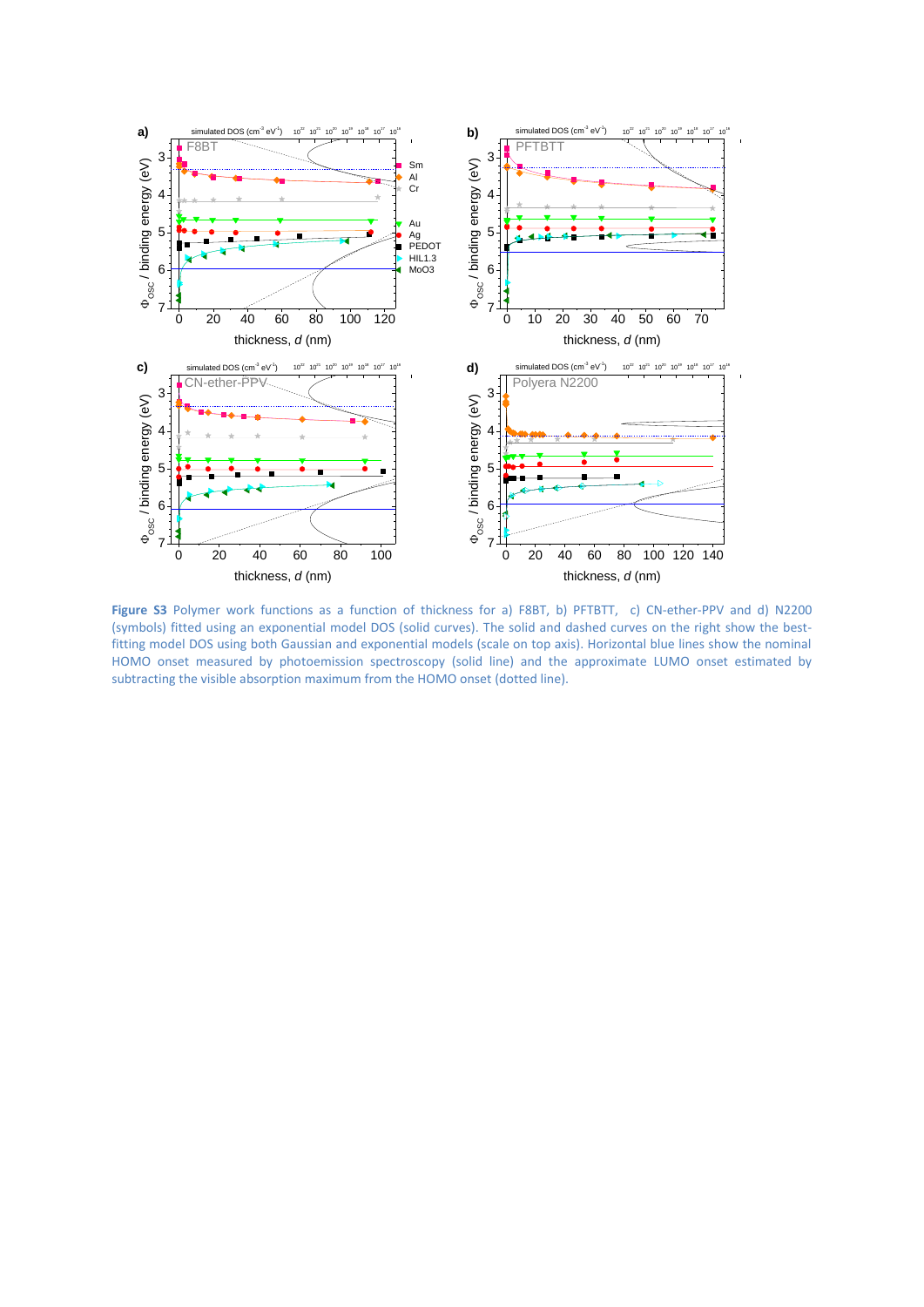

Figure S3 Polymer work functions as a function of thickness for a) F8BT, b) PFTBTT, c) CN-ether-PPV and d) N2200 (symbols) fitted using an exponential model DOS (solid curves). The solid and dashed curves on the right show the bestfitting model DOS using both Gaussian and exponential models (scale on top axis). Horizontal blue lines show the nominal HOMO onset measured by photoemission spectroscopy (solid line) and the approximate LUMO onset estimated by subtracting the visible absorption maximum from the HOMO onset (dotted line).